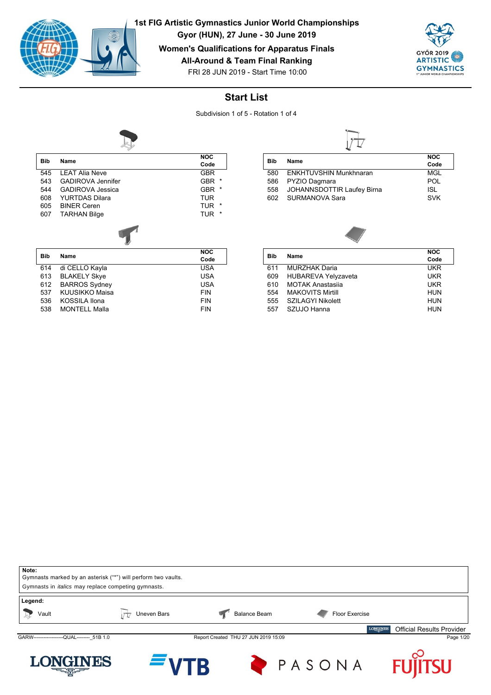

YURTDAS Dilara

KUUSIKKO Maisa

538 MONTELL Malla

607 TARHAN Bilge

545 LEAT Alia Neve GBR 543 GADIROVA Jennifer GBR \*<br>544 GADIROVA Jessies GBR \* 544 GADIROVA Jessica GBR \*

605 BINER Ceren TUR \* TUR \* 607 TARHAN Bilge

614 di CELLO Kayla USA e BLAKELY Skye USA<br>BARROS Sydney USA USA 612 BARROS Sydney USA

536 KOSSILA Ilona FIN

**Bib Name**

**Bib Name**

**1st FIG Artistic Gymnastics Junior World Championships**

**Gyor (HUN), 27 June - 30 June 2019**

**Women's Qualifications for Apparatus Finals**

**All-Around & Team Final Ranking**





## **Start List**

Subdivision 1 of 5 - Rotation 1 of 4

**NOC Code**

**NOC Code**



| <b>Bib</b> |                               | <b>NOC</b> |
|------------|-------------------------------|------------|
|            | <b>Name</b>                   | Code       |
| 580        | <b>ENKHTUVSHIN Munkhnaran</b> | MGL        |
| 586        | PYZIO Dagmara                 | POL        |
| 558        | JOHANNSDOTTIR Laufey Birna    | ISL.       |
| 602        | <b>SURMANOVA Sara</b>         | <b>SVK</b> |



|                            | <b>NOC</b> |
|----------------------------|------------|
|                            | Code       |
| <b>MURZHAK Daria</b>       | <b>UKR</b> |
| <b>HUBAREVA Yelyzaveta</b> | <b>UKR</b> |
| <b>MOTAK Anastasija</b>    | <b>UKR</b> |
| <b>MAKOVITS Mirtill</b>    | <b>HUN</b> |
| SZILAGYI Nikolett          | <b>HUN</b> |
| SZUJO Hanna                | <b>HUN</b> |
|                            | Name       |

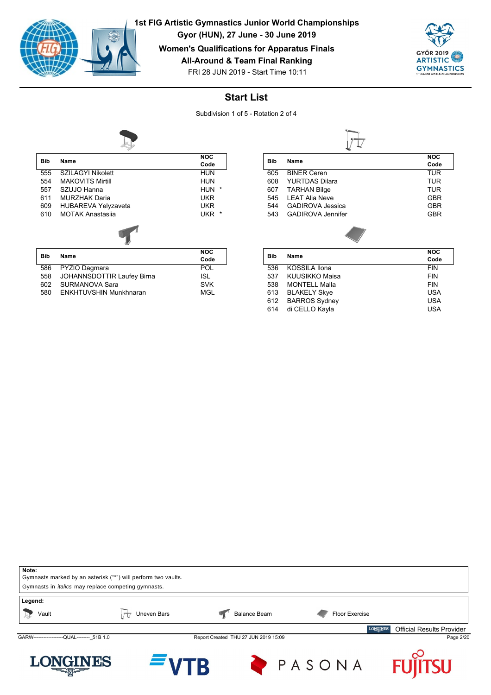

**Gyor (HUN), 27 June - 30 June 2019**

**Women's Qualifications for Apparatus Finals**

**All-Around & Team Final Ranking**



FRI 28 JUN 2019 - Start Time 10:11

## **Start List**

Subdivision 1 of 5 - Rotation 2 of 4



| Bib        | Name                              | <b>NOC</b>      |
|------------|-----------------------------------|-----------------|
|            |                                   | Code            |
| 555        | <b>SZILAGYI Nikolett</b>          | HUN             |
| 554        | <b>MAKOVITS Mirtill</b>           | <b>HUN</b>      |
| 557        | SZUJO Hanna                       | $\star$<br>HUN  |
| 611        | <b>MURZHAK Daria</b>              | <b>UKR</b>      |
| 609        | <b>HUBAREVA Yelyzaveta</b>        | <b>UKR</b>      |
| 610        | <b>MOTAK Anastasija</b>           | *<br><b>UKR</b> |
|            |                                   |                 |
| <b>Bib</b> | Name                              | <b>NOC</b>      |
|            |                                   | Code            |
| 586        | PYZIO Dagmara                     | POL             |
| 558        | <b>JOHANNSDOTTIR Laufey Birna</b> | <b>ISL</b>      |

Formation of the SURMANOVA Sara SVK<br>1980 ENKHTUVSHIN Munkhnaran SMSL

ENKHTUVSHIN Munkhnaran

| <b>Bib</b> | Name                     | <b>NOC</b> |
|------------|--------------------------|------------|
|            |                          | Code       |
| 605        | <b>BINER Ceren</b>       | TUR        |
| 608        | <b>YURTDAS Dilara</b>    | TUR        |
| 607        | <b>TARHAN Bilge</b>      | TUR        |
| 545        | I FAT Alia Neve          | <b>GBR</b> |
| 544        | <b>GADIROVA Jessica</b>  | <b>GBR</b> |
| 543        | <b>GADIROVA Jennifer</b> | <b>GBR</b> |
|            |                          |            |

| Bib |                      | <b>NOC</b> |
|-----|----------------------|------------|
|     | Name                 | Code       |
| 536 | KOSSILA Ilona        | <b>FIN</b> |
| 537 | KUUSIKKO Maisa       | <b>FIN</b> |
| 538 | <b>MONTELL Malla</b> | <b>FIN</b> |
| 613 | <b>BLAKELY Skye</b>  | <b>USA</b> |
| 612 | <b>BARROS Sydney</b> | <b>USA</b> |
| 614 | di CELLO Kayla       | <b>USA</b> |

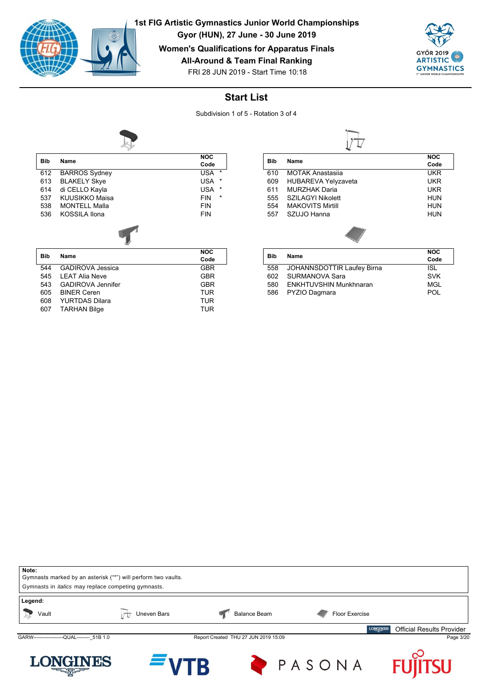

**Gyor (HUN), 27 June - 30 June 2019**

**Women's Qualifications for Apparatus Finals**

**All-Around & Team Final Ranking**



FRI 28 JUN 2019 - Start Time 10:18

## **Start List**

Subdivision 1 of 5 - Rotation 3 of 4



| <b>Bib</b> | Name                    | <b>NOC</b>            |
|------------|-------------------------|-----------------------|
|            |                         | Code                  |
| 612        | <b>BARROS</b> Sydney    | $\star$<br>USA        |
| 613        | <b>BLAKELY Skye</b>     | <b>USA</b><br>$\ast$  |
| 614        | di CELLO Kayla          | $\star$<br><b>USA</b> |
| 537        | KUUSIKKO Maisa          | $\star$<br><b>FIN</b> |
| 538        | <b>MONTELL Malla</b>    | <b>FIN</b>            |
| 536        | KOSSILA Ilona           | <b>FIN</b>            |
|            |                         |                       |
| <b>Bib</b> | Name                    | <b>NOC</b>            |
|            |                         | Code                  |
| 544        | <b>GADIROVA Jessica</b> | GBR                   |

|     | 544 GADIROVA Jessica  | <b>GBR</b> |
|-----|-----------------------|------------|
|     | 545 LEAT Alia Neve    | <b>GBR</b> |
| 543 | GADIROVA Jennifer     | <b>GBR</b> |
|     | 605 BINER Ceren       | <b>TUR</b> |
| 608 | <b>YURTDAS Dilara</b> | <b>TUR</b> |
|     | 607 TARHAN Bilge      | TUR        |

|     |                            | <b>NOC</b> |
|-----|----------------------------|------------|
| Bib | Name                       | Code       |
| 610 | <b>MOTAK Anastasiia</b>    | UKR        |
| 609 | <b>HUBAREVA Yelyzaveta</b> | UKR        |
| 611 | MURZHAK Daria              | UKR        |
| 555 | <b>SZILAGYI Nikolett</b>   | HUN        |
| 554 | <b>MAKOVITS Mirtill</b>    | HUN        |
| 557 | SZUJO Hanna                | HUN        |
|     |                            |            |

| Bib<br><b>Name</b>            | <b>NOC</b> |
|-------------------------------|------------|
|                               | Code       |
| JOHANNSDOTTIR Laufey Birna    | ISL        |
| SURMANOVA Sara                | <b>SVK</b> |
| <b>ENKHTUVSHIN Munkhnaran</b> | MGL        |
| PYZIO Dagmara                 | POL        |
|                               |            |

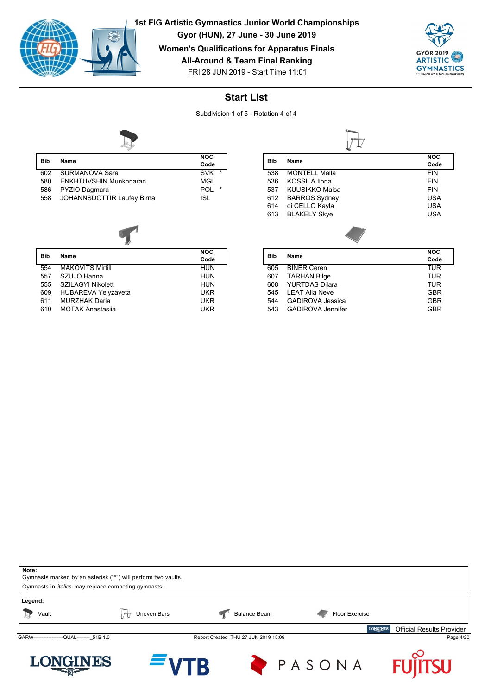

**Gyor (HUN), 27 June - 30 June 2019**

**Women's Qualifications for Apparatus Finals**

**All-Around & Team Final Ranking**



FRI 28 JUN 2019 - Start Time 11:01

## **Start List**

Subdivision 1 of 5 - Rotation 4 of 4



| Bib | Name                          | <b>NOC</b>            |
|-----|-------------------------------|-----------------------|
|     |                               | Code                  |
| 602 | SURMANOVA Sara                | $\star$<br><b>SVK</b> |
| 580 | <b>ENKHTUVSHIN Munkhnaran</b> | MGL                   |
| 586 | PYZIO Dagmara                 | $\star$<br>POL        |
| 558 | JOHANNSDOTTIR Laufey Birna    | ISL                   |

| $1.770$ $1.71$ |  |
|----------------|--|

| <b>Bib</b> |                            | <b>NOC</b> |
|------------|----------------------------|------------|
|            | Name                       | Code       |
| 554        | <b>MAKOVITS Mirtill</b>    | <b>HUN</b> |
| 557        | SZUJO Hanna                | <b>HUN</b> |
| 555        | <b>SZILAGYI Nikolett</b>   | <b>HUN</b> |
| 609        | <b>HUBAREVA Yelyzaveta</b> | <b>UKR</b> |
| 611        | <b>MURZHAK Daria</b>       | <b>UKR</b> |
| 610        | <b>MOTAK Anastasija</b>    | UKR        |

| Bib | <b>Name</b>          | <b>NOC</b><br>Code |  |
|-----|----------------------|--------------------|--|
|     |                      |                    |  |
| 538 | <b>MONTELL Malla</b> | <b>FIN</b>         |  |
| 536 | KOSSILA Ilona        | <b>FIN</b>         |  |
| 537 | KUUSIKKO Maisa       | <b>FIN</b>         |  |
| 612 | <b>BARROS Sydney</b> | <b>USA</b>         |  |
| 614 | di CELLO Kayla       | <b>USA</b>         |  |
| 613 | <b>BLAKELY Skye</b>  | <b>USA</b>         |  |
|     |                      |                    |  |

| Bib |                          | <b>NOC</b> |
|-----|--------------------------|------------|
|     | Name                     | Code       |
| 605 | <b>BINER Ceren</b>       | TUR        |
| 607 | <b>TARHAN Bilge</b>      | TUR        |
| 608 | YURTDAS Dilara           | TUR        |
| 545 | I FAT Alia Neve          | <b>GBR</b> |
| 544 | <b>GADIROVA Jessica</b>  | <b>GBR</b> |
| 543 | <b>GADIROVA Jennifer</b> | <b>GBR</b> |
|     |                          |            |

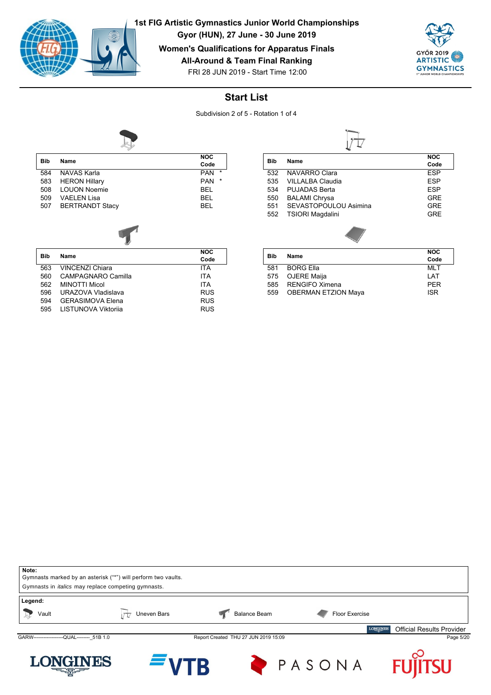

**Bib Name**

**1st FIG Artistic Gymnastics Junior World Championships**

**Gyor (HUN), 27 June - 30 June 2019**

**Women's Qualifications for Apparatus Finals**

**All-Around & Team Final Ranking**



FRI 28 JUN 2019 - Start Time 12:00

## **Start List**

Subdivision 2 of 5 - Rotation 1 of 4

**NOC Code**



| <b>Bib</b> | Name                   | <b>NOC</b>            |
|------------|------------------------|-----------------------|
|            |                        | Code                  |
| 584        | NAVAS Karla            | $\star$<br><b>PAN</b> |
| 583        | <b>HERON Hillary</b>   | $\star$<br><b>PAN</b> |
| 508        | <b>LOUON Noemie</b>    | <b>BEL</b>            |
| 509        | VAELEN Lisa            | <b>BEL</b>            |
| 507        | <b>BERTRANDT Stacy</b> | <b>BEL</b>            |
|            |                        |                       |
|            |                        |                       |

|     | 563 VINCENZI Chiara     | ITA        |
|-----|-------------------------|------------|
| 560 | CAMPAGNARO Camilla      | ITA        |
| 562 | MINOTTI Micol           | ITA        |
|     | 596 URAZOVA Vladislava  | <b>RUS</b> |
| 594 | <b>GERASIMOVA Elena</b> | <b>RUS</b> |
|     | 595 LISTUNOVA Viktorija | <b>RUS</b> |

| <b>Bib</b> | Name                    | <b>NOC</b> |  |
|------------|-------------------------|------------|--|
|            |                         | Code       |  |
| 532        | NAVARRO Clara           | ESP        |  |
| 535        | VII I ALBA Claudia      | <b>ESP</b> |  |
| 534        | PUJADAS Berta           | <b>ESP</b> |  |
| 550        | <b>BALAMI Chrysa</b>    | <b>GRE</b> |  |
| 551        | SEVASTOPOULOU Asimina   | <b>GRE</b> |  |
| 552        | <b>TSIORI Magdalini</b> | GRF        |  |
|            |                         |            |  |
|            | $\cdots$                | <b>NOC</b> |  |

|            |                            | טעו        |  |
|------------|----------------------------|------------|--|
| <b>Bib</b> | Name                       | Code       |  |
| 581        | <b>BORG Ella</b>           | MI T       |  |
|            | 575 OJERE Maija            | I AT       |  |
| 585        | RENGIFO Ximena             | <b>PFR</b> |  |
| 559        | <b>OBERMAN ETZION Maya</b> | <b>ISR</b> |  |
|            |                            |            |  |

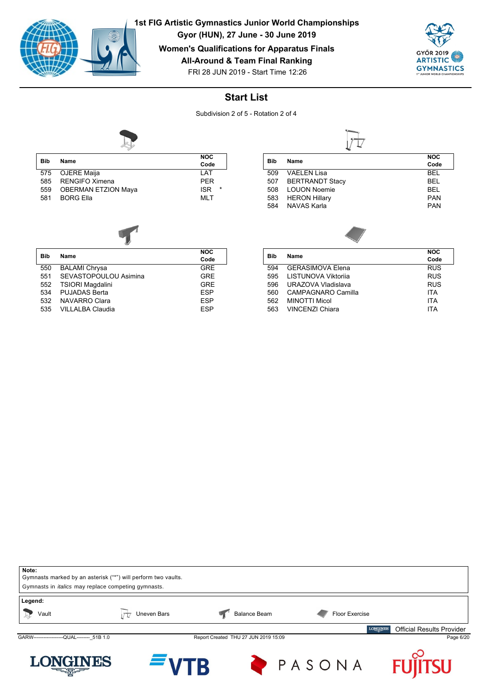

**Gyor (HUN), 27 June - 30 June 2019**

**Women's Qualifications for Apparatus Finals**

**All-Around & Team Final Ranking**



FRI 28 JUN 2019 - Start Time 12:26

# **Start List**

Subdivision 2 of 5 - Rotation 2 of 4



| <b>NOC</b>                                      |         |
|-------------------------------------------------|---------|
| <b>Bib</b><br>Name<br>Code                      |         |
| 575 OJERE Maija<br>I AT                         |         |
| <b>RENGIFO Ximena</b><br><b>PFR</b><br>585      |         |
| <b>OBERMAN ETZION Maya</b><br><b>ISR</b><br>559 | $\star$ |
| MI T<br><b>BORG Ella</b><br>581                 |         |



|            |                         | <b>NOC</b> |
|------------|-------------------------|------------|
| <b>Bib</b> | Name                    | Code       |
| 550        | <b>BALAMI Chrysa</b>    | <b>GRE</b> |
| 551        | SEVASTOPOULOU Asimina   | <b>GRE</b> |
| 552        | <b>TSIORI Magdalini</b> | GRF        |
| 534        | PUJADAS Berta           | <b>FSP</b> |
| 532        | NAVARRO Clara           | <b>FSP</b> |
| 535        | VILLALBA Claudia        | <b>FSP</b> |

|     |                        | <b>NOC</b> |
|-----|------------------------|------------|
| Bib | Name                   | Code       |
| 509 | VAELEN Lisa            | <b>BFI</b> |
| 507 | <b>BERTRANDT Stacy</b> | <b>BFI</b> |
| 508 | <b>LOUON Noemie</b>    | <b>BFI</b> |
| 583 | <b>HERON Hillary</b>   | <b>PAN</b> |
| 584 | <b>NAVAS Karla</b>     | <b>PAN</b> |
|     |                        |            |

| <b>Bib</b> | Name                    | <b>NOC</b> |
|------------|-------------------------|------------|
|            |                         | Code       |
| 594        | <b>GERASIMOVA Elena</b> | <b>RUS</b> |
| 595        | LISTUNOVA Viktorija     | <b>RUS</b> |
| 596        | URAZOVA Vladislava      | <b>RUS</b> |
| 560        | CAMPAGNARO Camilla      | <b>ITA</b> |
| 562        | <b>MINOTTI Micol</b>    | <b>ITA</b> |
| 563        | <b>VINCENZI Chiara</b>  | <b>ITA</b> |
|            |                         |            |

| Note:<br>Gymnasts marked by an asterisk ("*") will perform two vaults.<br>Gymnasts in <i>italics</i> may replace competing gymnasts. |             |                                      |                |                                                     |
|--------------------------------------------------------------------------------------------------------------------------------------|-------------|--------------------------------------|----------------|-----------------------------------------------------|
| Legend:<br>Vault                                                                                                                     | Uneven Bars | <b>Balance Beam</b>                  | Floor Exercise |                                                     |
|                                                                                                                                      |             |                                      |                | <b>LONGINES</b><br><b>Official Results Provider</b> |
| GARW-------------------QUAL-------- 51B 1.0                                                                                          |             | Report Created THU 27 JUN 2019 15:09 |                | Page 6/20                                           |
| <b>LONGINES</b><br><b>CONTROLLER</b>                                                                                                 | $=$ VTR     |                                      | PASONA         | <b>FUJITSU</b>                                      |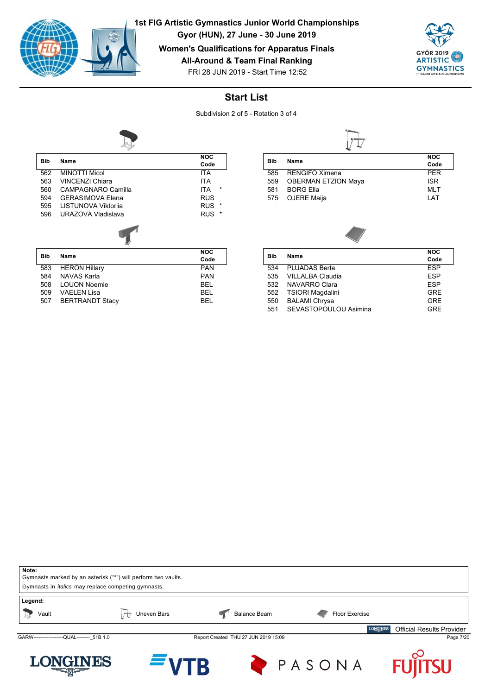

**Gyor (HUN), 27 June - 30 June 2019**

**Women's Qualifications for Apparatus Finals**

**All-Around & Team Final Ranking**



FRI 28 JUN 2019 - Start Time 12:52

## **Start List**

Subdivision 2 of 5 - Rotation 3 of 4



| <b>Bib</b> | Name                    | <b>NOC</b>      |
|------------|-------------------------|-----------------|
|            |                         | Code            |
| 562        | <b>MINOTTI Micol</b>    | <b>ITA</b>      |
| 563        | <b>VINCENZI Chiara</b>  | <b>ITA</b>      |
| 560        | CAMPAGNARO Camilla      | *<br><b>ITA</b> |
| 594        | <b>GERASIMOVA Elena</b> | <b>RUS</b>      |
| 595        | LISTUNOVA Viktorija     | *<br><b>RUS</b> |
| 596        | URAZOVA Vladislava      | <b>RUS</b><br>* |
|            |                         |                 |
| <b>Bib</b> | Name                    | <b>NOC</b>      |
|            |                         | Code            |
| 583        | <b>HERON Hillary</b>    | <b>PAN</b>      |
| 584        | NAVAS Karla             | <b>PAN</b>      |

584 NAVAS Karla **PAN 1986 NAVAS Karla PAN**<br>508 LOUON Noemie PAN 1986 BEL 508 LOUON Noemie BEL

507 BERTRANDT Stacy BEL

VAELEN Lisa

| Bib | Name                       | <b>NOC</b> |
|-----|----------------------------|------------|
|     |                            | Code       |
| 585 | <b>RENGIFO Ximena</b>      | <b>PFR</b> |
| 559 | <b>OBERMAN ETZION Maya</b> | <b>ISR</b> |
| 581 | <b>BORG Ella</b>           | <b>MLT</b> |
| 575 | OJERE Maija                | I AT       |



|                         | Code       |
|-------------------------|------------|
| <b>PUJADAS Berta</b>    | <b>FSP</b> |
| VILLALBA Claudia        | <b>FSP</b> |
| NAVARRO Clara           | <b>FSP</b> |
| <b>TSIORI Magdalini</b> | <b>GRE</b> |
| <b>BALAMI Chrysa</b>    | <b>GRE</b> |
| SEVASTOPOULOU Asimina   | GRF        |
|                         |            |

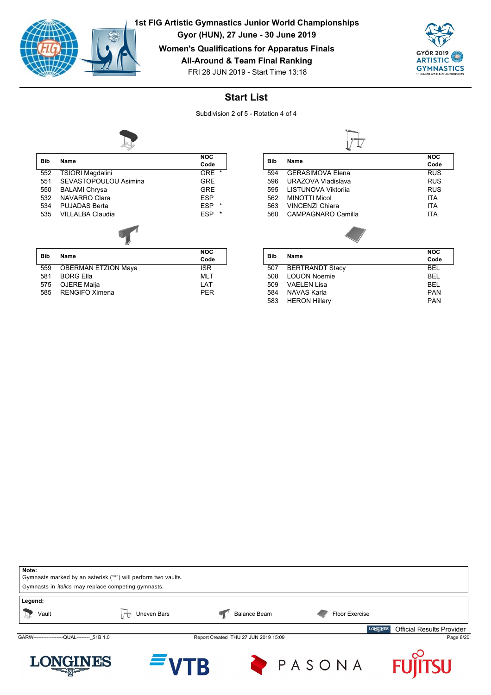

**Gyor (HUN), 27 June - 30 June 2019**

**Women's Qualifications for Apparatus Finals**

**All-Around & Team Final Ranking**



FRI 28 JUN 2019 - Start Time 13:18

## **Start List**

Subdivision 2 of 5 - Rotation 4 of 4



| <b>Bib</b> | Name                       | <b>NOC</b><br>Code    |
|------------|----------------------------|-----------------------|
|            |                            | $\star$               |
| 552        | <b>TSIORI Magdalini</b>    | <b>GRE</b>            |
| 551        | SEVASTOPOULOU Asimina      | <b>GRE</b>            |
| 550        | <b>BALAMI Chrysa</b>       | <b>GRE</b>            |
| 532        | <b>NAVARRO Clara</b>       | <b>ESP</b>            |
| 534        | <b>PUJADAS Berta</b>       | <b>ESP</b><br>$\star$ |
| 535        | VII I ALBA Claudia         | <b>ESP</b><br>$\star$ |
|            |                            |                       |
| <b>Bib</b> | Name                       | <b>NOC</b>            |
|            |                            | Code                  |
| 559        | <b>OBERMAN ETZION Maya</b> | <b>ISR</b>            |
| 581        | <b>BORG Ella</b>           | <b>MLT</b>            |

575 OJERE Maija<br>585 RENGIFO Ximena LAT PER

RENGIFO Ximena

|     | Name                       | <b>NOC</b> |
|-----|----------------------------|------------|
| Bib |                            | Code       |
| 594 | <b>GERASIMOVA Elena</b>    | <b>RUS</b> |
| 596 | URAZOVA Vladislava         | <b>RUS</b> |
| 595 | <b>LISTUNOVA Viktorija</b> | <b>RUS</b> |
| 562 | <b>MINOTTI Micol</b>       | <b>ITA</b> |
| 563 | VINCENZI Chiara            | <b>ITA</b> |
| 560 | CAMPAGNARO Camilla         | <b>ITA</b> |
|     |                            |            |

| Bib |                        | <b>NOC</b> |
|-----|------------------------|------------|
|     | Name                   | Code       |
| 507 | <b>BERTRANDT Stacy</b> | <b>BFI</b> |
| 508 | <b>LOUON Noemie</b>    | <b>BFI</b> |
| 509 | VAFI FN Lisa           | <b>BFI</b> |
| 584 | NAVAS Karla            | <b>PAN</b> |
| 583 | <b>HERON Hillary</b>   | <b>PAN</b> |
|     |                        |            |

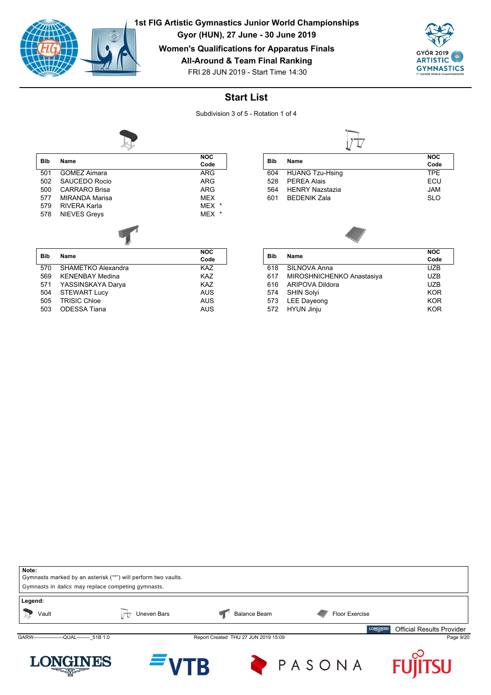

**Gyor (HUN), 27 June - 30 June 2019**

**Women's Qualifications for Apparatus Finals**

**All-Around & Team Final Ranking**



FRI 28 JUN 2019 - Start Time 14:30

# **Start List**

Subdivision 3 of 5 - Rotation 1 of 4



| <b>Bib</b> | Name                  | <b>NOC</b>           |
|------------|-----------------------|----------------------|
|            |                       | Code                 |
| 501        | <b>GOMEZ Aimara</b>   | ARG                  |
| 502        | SAUCEDO Rocio         | <b>ARG</b>           |
| 500        | <b>CARRARO Brisa</b>  | ARG                  |
| 577        | <b>MIRANDA Marisa</b> | <b>MEX</b>           |
| 579        | RIVERA Karla          | MEX<br>$\star$       |
| 578        | <b>NIEVES Greys</b>   | <b>MEX</b><br>$\ast$ |
|            |                       |                      |
| <b>Bib</b> | Name                  | <b>NOC</b>           |
|            |                       | Code                 |

R

| <b>Bib</b> |                        | <b>NOC</b> |
|------------|------------------------|------------|
|            | Name                   | Code       |
| 570        | SHAMETKO Alexandra     | KAZ        |
| 569        | <b>KENENBAY Medina</b> | <b>KAZ</b> |
| 571        | YASSINSKAYA Darya      | <b>KAZ</b> |
| 504        | <b>STEWART Lucy</b>    | AUS        |
| 505        | <b>TRISIC Chloe</b>    | AUS        |
| 503        | <b>ODESSA Tiana</b>    | AUS        |

|                        | <b>NOC</b> |
|------------------------|------------|
|                        | Code       |
| <b>HUANG Tzu-Hsing</b> | TPF        |
| <b>PEREA Alais</b>     | ECU        |
| <b>HENRY Nazstazia</b> | <b>JAM</b> |
| <b>BEDENIK Zala</b>    | SI O       |
|                        | Name       |



| Bib | Name                      | <b>NOC</b> |
|-----|---------------------------|------------|
|     |                           | Code       |
| 618 | <b>SILNOVA Anna</b>       | UZB        |
| 617 | MIROSHNICHENKO Anastasiya | UZB        |
| 616 | ARIPOVA Dildora           | <b>UZB</b> |
| 574 | <b>SHIN Solyi</b>         | <b>KOR</b> |
| 573 | LEE Dayeong               | <b>KOR</b> |
| 572 | HYUN Jinju                | KOR        |
|     |                           |            |

| Note:<br>Gymnasts marked by an asterisk ("*") will perform two vaults.<br>Gymnasts in <i>italics</i> may replace competing gymnasts. |             |                                      |                |                                                     |
|--------------------------------------------------------------------------------------------------------------------------------------|-------------|--------------------------------------|----------------|-----------------------------------------------------|
| Legend:<br>Vault                                                                                                                     | Uneven Bars | <b>Balance Beam</b>                  | Floor Exercise |                                                     |
|                                                                                                                                      |             |                                      |                | <b>LONGINES</b><br><b>Official Results Provider</b> |
| GARW--------------------QUAL-------- 51B 1.0                                                                                         |             | Report Created THU 27 JUN 2019 15:09 |                | Page 9/20                                           |
| <b>LONGINES</b><br><b>CONTROLL</b>                                                                                                   | $=$ VTB     |                                      | PASONA         | <b>FUJITSU</b>                                      |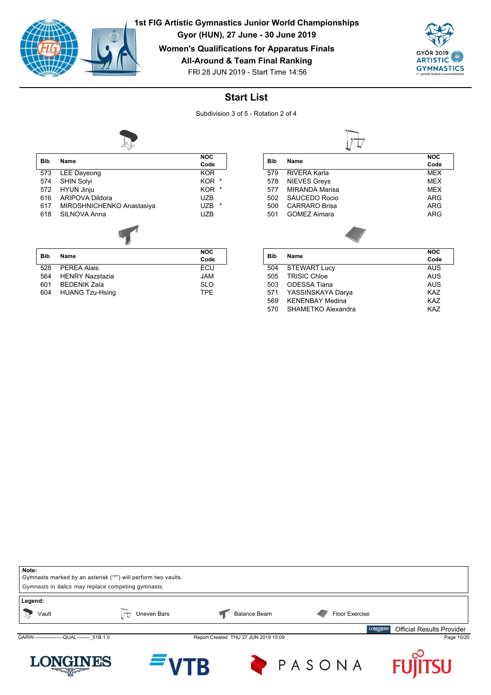

**Gyor (HUN), 27 June - 30 June 2019**

**Women's Qualifications for Apparatus Finals**

**All-Around & Team Final Ranking**



FRI 28 JUN 2019 - Start Time 14:56

## **Start List**

Subdivision 3 of 5 - Rotation 2 of 4



| <b>Bib</b> | Name                      | <b>NOC</b>            |
|------------|---------------------------|-----------------------|
|            |                           | Code                  |
| 573        | <b>LEE Dayeong</b>        | <b>KOR</b>            |
| 574        | <b>SHIN Solyi</b>         | <b>KOR</b><br>*       |
| 572        | <b>HYUN Jinju</b>         | KOR<br>$\ast$         |
| 616        | <b>ARIPOVA Dildora</b>    | <b>UZB</b>            |
| 617        | MIROSHNICHENKO Anastasiya | $\star$<br><b>UZB</b> |
| 618        | SILNOVA Anna              | <b>UZB</b>            |
|            |                           |                       |
|            |                           | <b>NOC</b>            |
| <b>Bib</b> | Name                      | Code                  |

| <b>Bib</b> |     |                        | .          |
|------------|-----|------------------------|------------|
|            |     | Name                   | Code       |
|            | 528 | PEREA Alais            | ECU        |
|            | 564 | <b>HENRY Nazstazia</b> | JAM        |
|            | 601 | <b>BEDENIK Zala</b>    | <b>SLO</b> |
|            | 604 | <b>HUANG Tzu-Hsing</b> | TPF        |
|            |     |                        |            |

| Bib | <b>Name</b>           |  | <b>NOC</b> |
|-----|-----------------------|--|------------|
|     |                       |  | Code       |
| 579 | RIVERA Karla          |  | <b>MEX</b> |
| 578 | <b>NIEVES Greys</b>   |  | <b>MEX</b> |
| 577 | <b>MIRANDA Marisa</b> |  | <b>MEX</b> |
| 502 | SAUCEDO Rocio         |  | ARG        |
| 500 | <b>CARRARO Brisa</b>  |  | ARG        |
| 501 | GOMEZ Aimara          |  | ARG        |
|     |                       |  |            |

| Bib |                        | <b>NOC</b> |
|-----|------------------------|------------|
|     | Name                   | Code       |
| 504 | <b>STEWART Lucy</b>    | <b>AUS</b> |
| 505 | <b>TRISIC Chloe</b>    | <b>AUS</b> |
| 503 | ODESSA Tiana           | <b>AUS</b> |
| 571 | YASSINSKAYA Darya      | <b>KAZ</b> |
| 569 | <b>KFNFNBAY Medina</b> | <b>KAZ</b> |
| 570 | SHAMETKO Alexandra     | KA7        |
|     |                        |            |

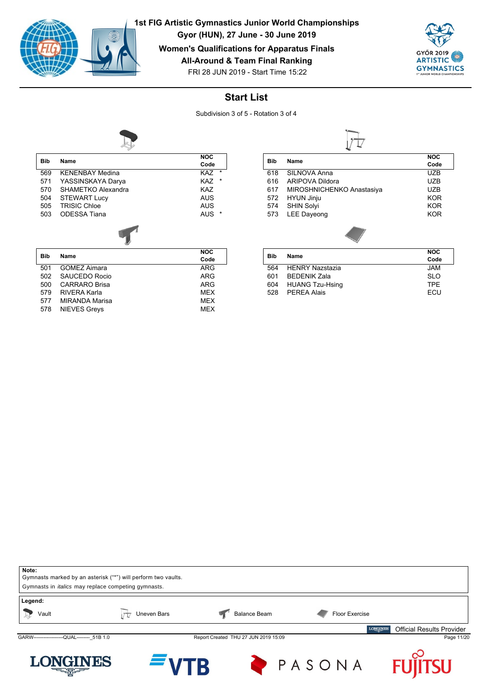

**Gyor (HUN), 27 June - 30 June 2019**

**Women's Qualifications for Apparatus Finals**

**All-Around & Team Final Ranking**



FRI 28 JUN 2019 - Start Time 15:22

## **Start List**

Subdivision 3 of 5 - Rotation 3 of 4



| <b>Bib</b> | Name                   | <b>NOC</b>      |
|------------|------------------------|-----------------|
|            |                        | Code            |
| 569        | <b>KENENBAY Medina</b> | $^\star$<br>KAZ |
| 571        | YASSINSKAYA Darya      | <b>KAZ</b><br>* |
| 570        | SHAMETKO Alexandra     | KA7             |
| 504        | <b>STEWART Lucy</b>    | AUS             |
| 505        | <b>TRISIC Chloe</b>    | AUS             |
| 503        | ODESSA Tiana           | AUS             |
|            |                        |                 |
| <b>Bib</b> | Name                   | <b>NOC</b>      |
|            |                        | Code            |
| 501        | <b>GOMEZ Aimara</b>    | ARG             |

|     | 501 GOMEZ Aimara  | ARG        |
|-----|-------------------|------------|
|     | 502 SAUCEDO Rocio | ARG        |
|     | 500 CARRARO Brisa | ARG        |
| 579 | RIVERA Karla      | <b>MFX</b> |
| 577 | MIRANDA Marisa    | <b>MFX</b> |
|     | 578 NIEVES Greys  | <b>MFX</b> |
|     |                   |            |

|            | <b>NOC</b>                |            |
|------------|---------------------------|------------|
| <b>Bib</b> | <b>Name</b>               | Code       |
| 618        | SILNOVA Anna              | UZB        |
| 616        | ARIPOVA Dildora           | UZB        |
| 617        | MIROSHNICHENKO Anastasiya | UZB        |
| 572        | <b>HYUN Jinju</b>         | <b>KOR</b> |
| 574        | <b>SHIN Solvi</b>         | <b>KOR</b> |
| 573        | <b>LEE Dayeong</b>        | <b>KOR</b> |
|            |                           |            |

| <b>Bib</b> |                        | <b>NOC</b> |
|------------|------------------------|------------|
|            | Name                   | Code       |
| 564        | <b>HENRY Nazstazia</b> | JAM        |
| 601        | <b>BEDENIK Zala</b>    | <b>SLO</b> |
| 604        | <b>HUANG Tzu-Hsing</b> | TPF        |
| 528        | <b>PFRFA Alais</b>     | <b>FCU</b> |
|            |                        |            |

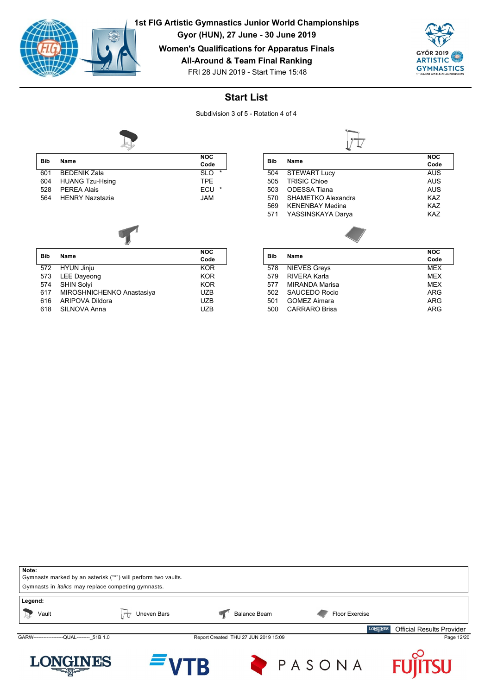

**Gyor (HUN), 27 June - 30 June 2019**

**Women's Qualifications for Apparatus Finals**

**All-Around & Team Final Ranking**



FRI 28 JUN 2019 - Start Time 15:48

## **Start List**

Subdivision 3 of 5 - Rotation 4 of 4



| <b>Bib</b> | Name                   | <b>NOC</b><br>Code    |
|------------|------------------------|-----------------------|
| 601        | <b>BEDENIK Zala</b>    | $\star$<br><b>SLO</b> |
| 604        | <b>HUANG Tzu-Hsing</b> | <b>TPF</b>            |
| 528        | <b>PFRFA Alais</b>     | ECU<br>$\star$        |
| 564        | <b>HFNRY Nazstazia</b> | <b>JAM</b>            |

|            |                           | <b>NOC</b> |
|------------|---------------------------|------------|
| <b>Bib</b> | Name                      | Code       |
|            | 572 HYUN Jinju            | <b>KOR</b> |
| 573        | <b>LEE Dayeong</b>        | <b>KOR</b> |
| 574        | SHIN Solyi                | <b>KOR</b> |
| 617        | MIROSHNICHENKO Anastasiya | UZB        |
| 616        | ARIPOVA Dildora           | <b>UZB</b> |
| 618        | SILNOVA Anna              | <b>UZB</b> |

|     | <b>NOC</b>             |            |
|-----|------------------------|------------|
| Bib | Name                   | Code       |
| 504 | <b>STEWART Lucy</b>    | AUS        |
| 505 | <b>TRISIC Chloe</b>    | AUS        |
| 503 | <b>ODESSA Tiana</b>    | AUS        |
| 570 | SHAMETKO Alexandra     | <b>KAZ</b> |
| 569 | <b>KFNFNBAY Medina</b> | <b>KAZ</b> |
| 571 | YASSINSKAYA Darya      | <b>KAZ</b> |
|     |                        |            |

|            | Name                | <b>NOC</b> |
|------------|---------------------|------------|
| <b>Bib</b> |                     | Code       |
| 578        | <b>NIEVES Greys</b> | <b>MFX</b> |
| 579        | RIVERA Karla        | <b>MFX</b> |
| 577        | MIRANDA Marisa      | <b>MFX</b> |
| 502        | SAUCEDO Rocio       | ARG        |
| 501        | GOMEZ Aimara        | ARG        |
| 500        | CARRARO Brisa       | ARG        |

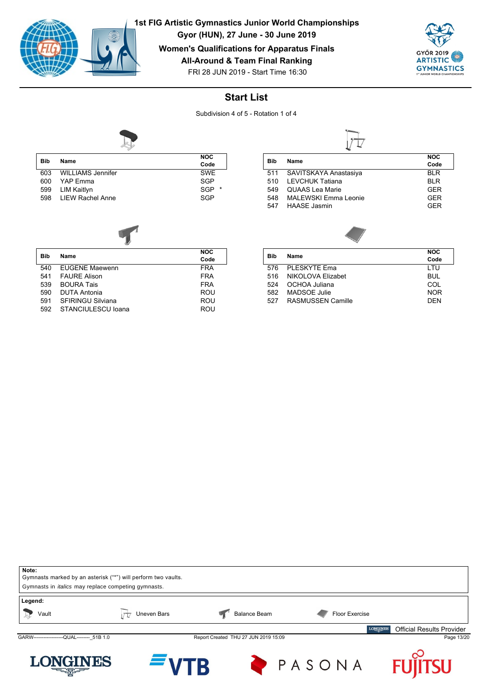

**Gyor (HUN), 27 June - 30 June 2019**

**Women's Qualifications for Apparatus Finals**

**All-Around & Team Final Ranking**



FRI 28 JUN 2019 - Start Time 16:30

## **Start List**

Subdivision 4 of 5 - Rotation 1 of 4



| <b>Bib</b> | Name                     | <b>NOC</b>            |
|------------|--------------------------|-----------------------|
|            |                          | Code                  |
| 603        | <b>WILLIAMS Jennifer</b> | <b>SWF</b>            |
| 600        | YAP Emma                 | <b>SGP</b>            |
| 599        | LIM Kaitlyn              | <b>SGP</b><br>$\star$ |
| 598        | <b>I IFW Rachel Anne</b> | <b>SGP</b>            |
|            |                          |                       |



|            |                           | <b>NOC</b> |
|------------|---------------------------|------------|
| <b>Bib</b> | Name                      | Code       |
| 540        | <b>EUGENE Maewenn</b>     | <b>FRA</b> |
| 541        | <b>FAURE Alison</b>       | <b>FRA</b> |
| 539        | <b>BOURA Tais</b>         | <b>FRA</b> |
| 590        | <b>DUTA Antonia</b>       | <b>ROU</b> |
| 591        | <b>SFIRINGU Silviana</b>  | ROU        |
| 592        | <b>STANCIULESCU Ioana</b> | ROU        |

|     |                        | <b>NOC</b> |
|-----|------------------------|------------|
| Bib | Name                   | Code       |
| 511 | SAVITSKAYA Anastasiya  | <b>BIR</b> |
| 510 | <b>LEVCHUK Tatiana</b> | <b>BIR</b> |
| 549 | <b>QUAAS</b> Lea Marie | <b>GFR</b> |
| 548 | MAI FWSKI Fmma Leonie  | <b>GFR</b> |
| 547 | HAASE Jasmin           | GFR        |
|     |                        |            |

| Bib | Name                     | <b>NOC</b> |
|-----|--------------------------|------------|
|     |                          | Code       |
| 576 | PLESKYTE Ema             | LTU        |
| 516 | NIKOLOVA Elizabet        | <b>BUL</b> |
| 524 | OCHOA Juliana            | COL        |
| 582 | MADSOE Julie             | <b>NOR</b> |
| 527 | <b>RASMUSSEN Camille</b> | <b>DFN</b> |
|     |                          |            |

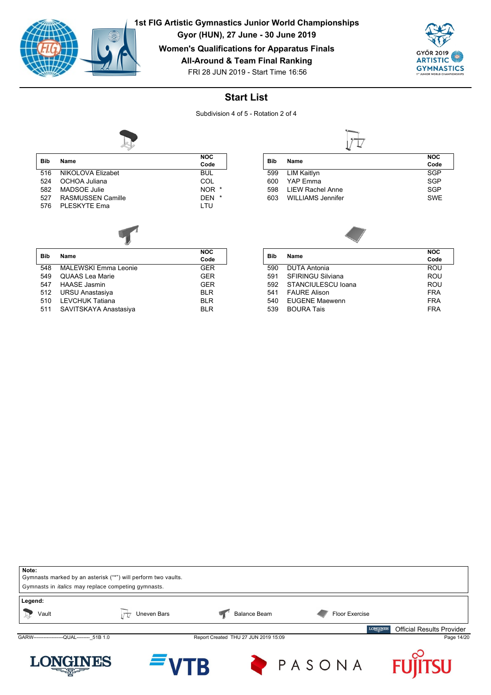

RASMUSSEN Camille

**Bib Name**

**1st FIG Artistic Gymnastics Junior World Championships**

**Gyor (HUN), 27 June - 30 June 2019**

**Women's Qualifications for Apparatus Finals**

**All-Around & Team Final Ranking**





#### **Start List**

Subdivision 4 of 5 - Rotation 2 of 4

**NOC Code**

**NOC**



| Bib | Name                     | <b>NOC</b> |  |
|-----|--------------------------|------------|--|
|     |                          | Code       |  |
| 599 | LIM Kaitlyn              | SGP        |  |
| 600 | YAP Fmma                 | <b>SGP</b> |  |
| 598 | LIEW Rachel Anne         | <b>SGP</b> |  |
| 603 | <b>WILLIAMS Jennifer</b> | <b>SWE</b> |  |



|                          | <b>NOC</b> |
|--------------------------|------------|
|                          | Code       |
| <b>DUTA Antonia</b>      | ROU        |
| <b>SFIRINGU Silviana</b> | ROU        |
| STANCIULESCU Ioana       | ROU        |
| <b>FAURE Alison</b>      | <b>FRA</b> |
| <b>EUGENE Maewenn</b>    | <b>FRA</b> |
| <b>BOURA Tais</b>        | <b>FRA</b> |
|                          | Name       |



516 NIKOLOVA Elizabet BUL 524 OCHOA Juliana COL 582 MADSOE Julie NOR \*

576 PLESKYTE Ema<br>LTU

| <b>Bib</b> | Name                        | Code       |
|------------|-----------------------------|------------|
| 548        | <b>MALEWSKI Emma Leonie</b> | <b>GER</b> |
| 549        | <b>QUAAS Lea Marie</b>      | <b>GER</b> |
| 547        | <b>HAASE Jasmin</b>         | <b>GER</b> |
| 512        | URSU Anastasiya             | <b>BLR</b> |
| 510        | LEVCHUK Tatiana             | <b>BLR</b> |
| 511        | SAVITSKAYA Anastasiya       | <b>BLR</b> |
|            |                             |            |

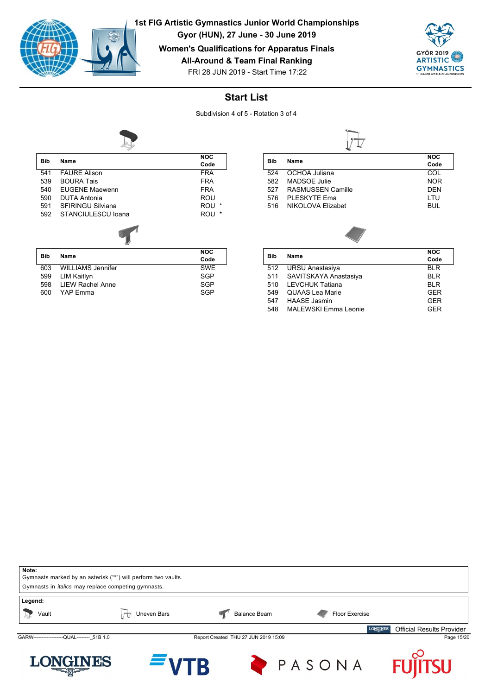

YAP Emma

**1st FIG Artistic Gymnastics Junior World Championships**

**Gyor (HUN), 27 June - 30 June 2019**

**Women's Qualifications for Apparatus Finals**

**All-Around & Team Final Ranking**



FRI 28 JUN 2019 - Start Time 17:22

#### **Start List**

Subdivision 4 of 5 - Rotation 3 of 4



|            |                          | <b>NOC</b>      |
|------------|--------------------------|-----------------|
| Bib        | Name                     | Code            |
| 541        | <b>FAURE Alison</b>      | <b>FRA</b>      |
| 539        | <b>BOURA Tais</b>        | <b>FRA</b>      |
| 540        | <b>EUGENE Maewenn</b>    | <b>FRA</b>      |
| 590        | <b>DUTA Antonia</b>      | ROU             |
| 591        | <b>SFIRINGU Silviana</b> | $^\star$<br>ROU |
| 592        | STANCIULESCU Ioana       | $\star$<br>ROU  |
|            |                          |                 |
|            |                          | <b>NOC</b>      |
| <b>Bib</b> | Name                     | Code            |

603 WILLIAMS Jennifer SWE<br>599 LIM Kaitlyn SGP 599 LIM Kaitlyn<br>598 LIEW Rachel Anne SGP SGP 598 LIEW Rachel Anne SGP<br>600 YAP Emma

| Bib | Name              | <b>NOC</b><br>Code |
|-----|-------------------|--------------------|
|     |                   |                    |
| 524 | OCHOA Juliana     | COL                |
| 582 | MADSOE Julie      | <b>NOR</b>         |
| 527 | RASMUSSEN Camille | DFN                |
| 576 | PI FSKYTF Fma     | I TU               |
| 516 | NIKOLOVA Elizabet | BUL.               |
|     |                   |                    |

| Bib | Name                   | <b>NOC</b> |
|-----|------------------------|------------|
|     |                        | Code       |
| 512 | <b>URSU Anastasiya</b> | <b>BLR</b> |
| 511 | SAVITSKAYA Anastasiya  | <b>BLR</b> |
| 510 | <b>LEVCHUK Tatiana</b> | <b>BLR</b> |
| 549 | <b>QUAAS Lea Marie</b> | <b>GER</b> |
| 547 | <b>HAASE Jasmin</b>    | <b>GER</b> |
| 548 | MAI FWSKI Fmma I eonie | GFR        |
|     |                        |            |

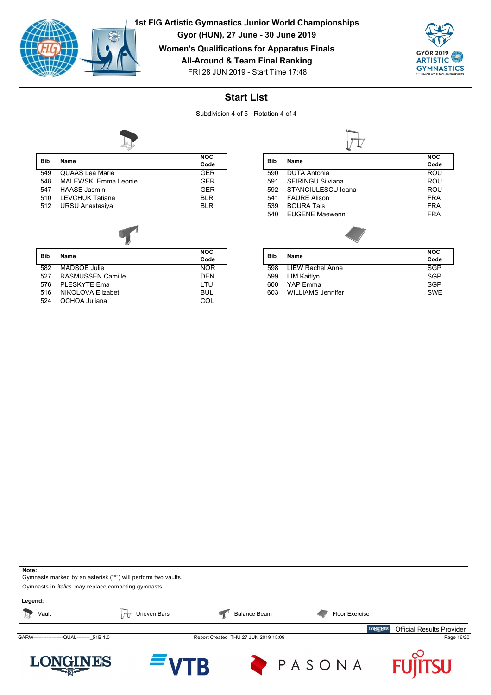

**Gyor (HUN), 27 June - 30 June 2019**

**Women's Qualifications for Apparatus Finals**

**All-Around & Team Final Ranking**



FRI 28 JUN 2019 - Start Time 17:48

## **Start List**

Subdivision 4 of 5 - Rotation 4 of 4



| <b>Bib</b> | Name                        | <b>NOC</b> |
|------------|-----------------------------|------------|
|            |                             | Code       |
| 549        | <b>QUAAS Lea Marie</b>      | <b>GER</b> |
| 548        | <b>MALEWSKI Emma Leonie</b> | <b>GER</b> |
| 547        | <b>HAASE</b> Jasmin         | <b>GER</b> |
| 510        | <b>LEVCHUK Tatiana</b>      | <b>BLR</b> |
| 512        | URSU Anastasiya             | <b>BLR</b> |
|            |                             |            |
|            |                             |            |

| <b>Bib</b> | <b>Name</b>              | <b>NOC</b><br>Code |
|------------|--------------------------|--------------------|
| 582        | <b>MADSOE Julie</b>      | <b>NOR</b>         |
| 527        | <b>RASMUSSEN Camille</b> | <b>DFN</b>         |
| 576        | PLESKYTE Ema             | I TU               |
| 516        | NIKOLOVA Elizabet        | BUL                |
| 524        | OCHOA Juliana            |                    |

|     | <b>Name</b>              | <b>NOC</b> |
|-----|--------------------------|------------|
| Bib |                          | Code       |
| 590 | <b>DUTA Antonia</b>      | ROU        |
| 591 | <b>SFIRINGU Silviana</b> | ROU        |
| 592 | STANCIULESCU Ioana       | ROU        |
| 541 | <b>FAURF Alison</b>      | <b>FRA</b> |
| 539 | <b>BOURA Tais</b>        | <b>FRA</b> |
| 540 | <b>FUGENE Maewenn</b>    | <b>FRA</b> |
|     |                          |            |

|     |                          | <b>NOC</b> |
|-----|--------------------------|------------|
| Bib | Name                     | Code       |
| 598 | LIEW Rachel Anne         | SGP        |
| 599 | LIM Kaitlyn              | <b>SGP</b> |
| 600 | YAP Emma                 | SGP        |
| 603 | <b>WILLIAMS Jennifer</b> | <b>SWF</b> |

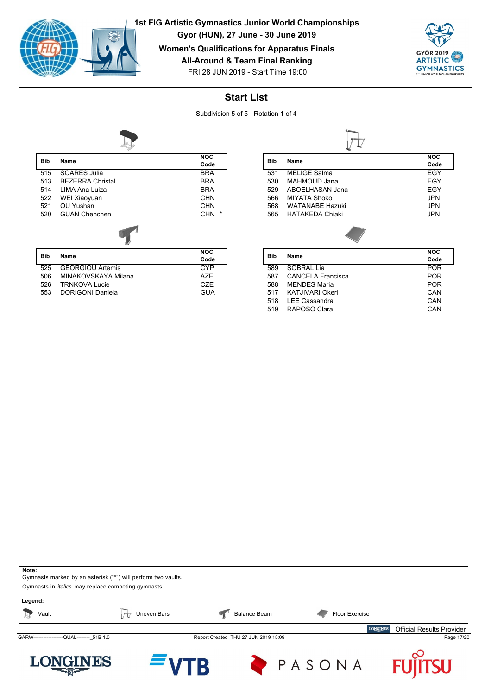

**Gyor (HUN), 27 June - 30 June 2019**

#### **Women's Qualifications for Apparatus Finals**

**All-Around & Team Final Ranking**



FRI 28 JUN 2019 - Start Time 19:00

## **Start List**

Subdivision 5 of 5 - Rotation 1 of 4



| <b>Bib</b> | Name                    | <b>NOC</b>     |
|------------|-------------------------|----------------|
|            |                         | Code           |
| 515        | SOARES Julia            | <b>BRA</b>     |
| 513        | <b>BEZERRA Christal</b> | <b>BRA</b>     |
| 514        | LIMA Ana Luiza          | <b>BRA</b>     |
| 522        | WEI Xiaoyuan            | CHN            |
| 521        | OU Yushan               | CHN            |
| 520        | <b>GUAN Chenchen</b>    | $\star$<br>CHN |
|            |                         |                |
| <b>Bib</b> | Name                    | <b>NOC</b>     |
|            |                         | Code           |
| 525        | <b>GEORGIOU Artemis</b> | CYP            |
| 506        | MINAKOVSKAYA Milana     | AZE            |
| 526        | <b>TRNKOVA Lucie</b>    | CZE            |

526 TRNKOVA Lucie CZE<br>553 DORIGONI Daniela COVA CUA

DORIGONI Daniela

|     |                        | <b>NOC</b> |
|-----|------------------------|------------|
| Bib | Name                   | Code       |
| 531 | <b>MELIGE Salma</b>    | EGY        |
| 530 | MAHMOUD Jana           | EGY        |
| 529 | ABOELHASAN Jana        | EGY        |
| 566 | <b>MIYATA Shoko</b>    | <b>JPN</b> |
| 568 | <b>WATANARF Hazuki</b> | <b>JPN</b> |
| 565 | <b>HATAKFDA Chiaki</b> | <b>JPN</b> |
|     |                        |            |

|     |                          | NOC        |
|-----|--------------------------|------------|
| Bib | Name                     | Code       |
| 589 | SOBRAL Lia               | <b>POR</b> |
| 587 | <b>CANCELA Francisca</b> | <b>POR</b> |
| 588 | <b>MFNDES Maria</b>      | <b>POR</b> |
| 517 | <b>KATJIVARI Okeri</b>   | CAN        |
| 518 | <b>LEE Cassandra</b>     | CAN        |
| 519 | RAPOSO Clara             | CAN        |
|     |                          |            |

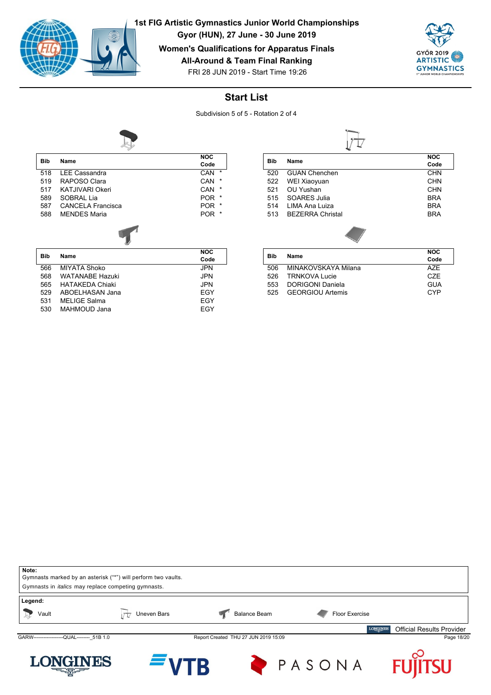

**Gyor (HUN), 27 June - 30 June 2019**

**Women's Qualifications for Apparatus Finals**

**All-Around & Team Final Ranking**



FRI 28 JUN 2019 - Start Time 19:26

## **Start List**

Subdivision 5 of 5 - Rotation 2 of 4



| <b>Bib</b> | Name                     | <b>NOC</b>           |
|------------|--------------------------|----------------------|
|            |                          | Code                 |
| 518        | <b>LEE Cassandra</b>     | $\star$<br>CAN       |
| 519        | RAPOSO Clara             | $\star$<br>CAN       |
| 517        | <b>KATJIVARI Okeri</b>   | *<br>CAN             |
| 589        | SOBRAL Lia               | *<br><b>POR</b>      |
| 587        | <b>CANCELA Francisca</b> | *<br><b>POR</b>      |
| 588        | <b>MENDES Maria</b>      | $\ast$<br><b>POR</b> |
|            |                          |                      |
| <b>Bib</b> | Name                     | <b>NOC</b>           |
|            |                          | Code                 |
| 566        | <b>MIYATA Shoko</b>      | <b>JPN</b>           |

| 566 | MIYATA Shoko           | JPN        |
|-----|------------------------|------------|
| 568 | <b>WATANARF Hazuki</b> | JPN        |
|     | 565 HATAKEDA Chiaki    | JPN        |
| 529 | ABOELHASAN Jana        | <b>FGY</b> |
| 531 | MELIGE Salma           | <b>FGY</b> |
| 530 | MAHMOUD Jana           | <b>FGY</b> |
|     |                        |            |

|     |                         | <b>NOC</b> |
|-----|-------------------------|------------|
| Bib | Name                    | Code       |
| 520 | <b>GUAN Chenchen</b>    | <b>CHN</b> |
| 522 | WEI Xiaoyuan            | <b>CHN</b> |
| 521 | OU Yushan               | <b>CHN</b> |
| 515 | SOARES Julia            | <b>BRA</b> |
| 514 | I IMA Ana Luiza         | <b>BRA</b> |
| 513 | <b>BEZERRA Christal</b> | <b>BRA</b> |
|     |                         |            |

| Bib |                         | <b>NOC</b>       |
|-----|-------------------------|------------------|
|     | Name                    | Code             |
| 506 | MINAKOVSKAYA Milana     | A7F              |
| 526 | <b>TRNKOVA Lucie</b>    | C <sub>7</sub> F |
| 553 | DORIGONI Daniela        | GUA              |
| 525 | <b>GFORGIOU Artemis</b> | C.YP             |
|     |                         |                  |

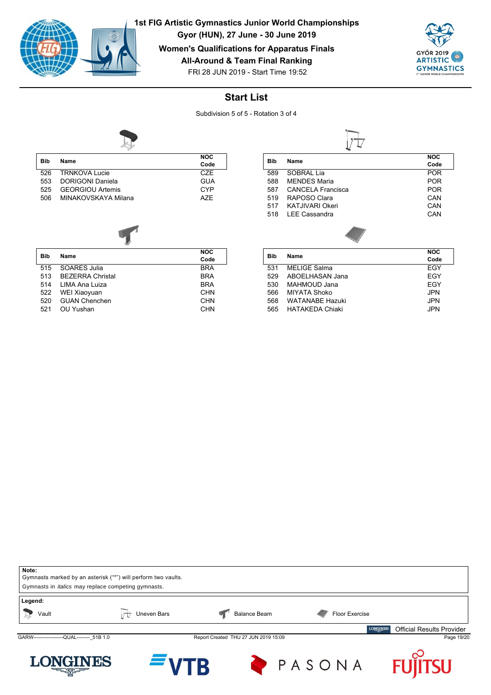

**1st FIG Artistic Gymnastics Junior World Championships**

**Gyor (HUN), 27 June - 30 June 2019**

**Women's Qualifications for Apparatus Finals**

**All-Around & Team Final Ranking**



FRI 28 JUN 2019 - Start Time 19:52

## **Start List**

Subdivision 5 of 5 - Rotation 3 of 4



| <b>Bib</b> | Name                    | <b>NOC</b>       |
|------------|-------------------------|------------------|
|            |                         | Code             |
| 526        | <b>TRNKOVA Lucie</b>    | C <sub>7</sub> F |
| 553        | <b>DORIGONI Daniela</b> | <b>GUA</b>       |
| 525        | <b>GEORGIOU Artemis</b> | CYP              |
| 506        | MINAKOVSKAYA Milana     | A7F              |

| <b>Bib</b> | Name                    | <b>NOC</b> |
|------------|-------------------------|------------|
|            |                         | Code       |
| 515        | SOARES Julia            | <b>BRA</b> |
| 513        | <b>BEZERRA Christal</b> | <b>BRA</b> |
| 514        | LIMA Ana Luiza          | <b>BRA</b> |
| 522        | WEI Xiaoyuan            | <b>CHN</b> |
| 520        | <b>GUAN Chenchen</b>    | <b>CHN</b> |
| 521        | OU Yushan               | CHN        |

|     |                          | <b>NOC</b> |
|-----|--------------------------|------------|
| Bib | Name                     | Code       |
| 589 | SOBRAL Lia               | <b>POR</b> |
| 588 | <b>MENDES Maria</b>      | <b>POR</b> |
| 587 | <b>CANCELA Francisca</b> | <b>POR</b> |
| 519 | RAPOSO Clara             | CAN        |
| 517 | <b>KATJIVARI Okeri</b>   | CAN        |
| 518 | <b>LEE Cassandra</b>     | CAN        |
|     |                          |            |

| Bib | <b>Name</b>            | <b>NOC</b> |
|-----|------------------------|------------|
|     |                        | Code       |
| 531 | <b>MELIGE Salma</b>    | FGY        |
| 529 | ABOELHASAN Jana        | EGY        |
| 530 | MAHMOUD Jana           | FGY        |
| 566 | MIYATA Shoko           | <b>JPN</b> |
| 568 | <b>WATANARF Hazuki</b> | <b>JPN</b> |
| 565 | <b>HATAKFDA Chiaki</b> | JPN.       |
|     |                        |            |